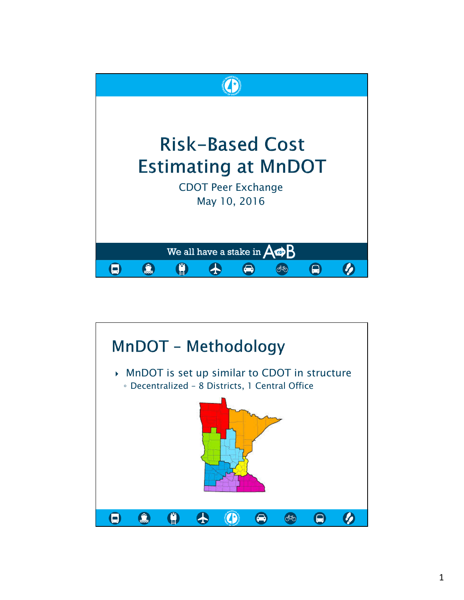

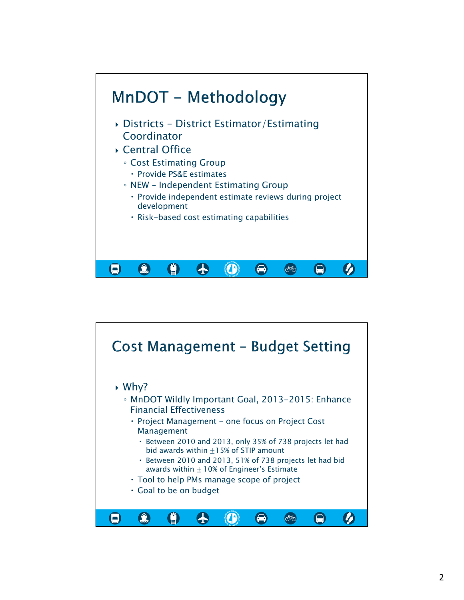

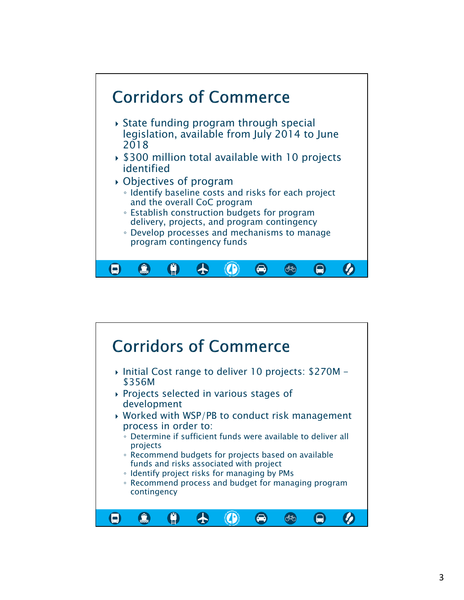

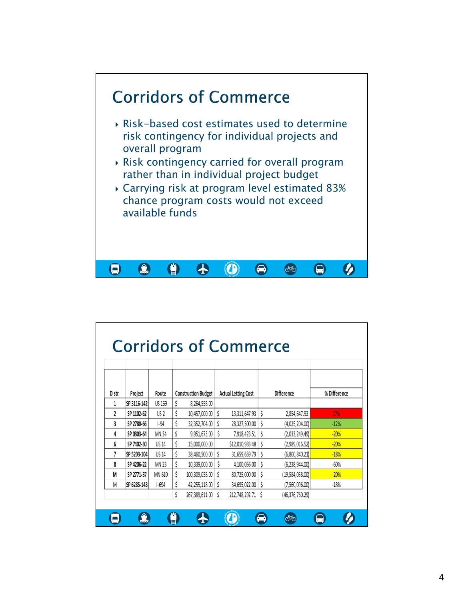

| Distr. | Project     | Route           |    | <b>Construction Budget</b> |    | <b>Actual Letting Cost</b> |    | <b>Difference</b> | % Difference |
|--------|-------------|-----------------|----|----------------------------|----|----------------------------|----|-------------------|--------------|
| 1      | SP 3116-142 | <b>US 169</b>   | \$ | 8,264,558.00               |    |                            |    |                   |              |
| 2      | SP 1102-62  | US <sub>2</sub> | \$ | 10,457,000.00              | Ś  | 13,311,647.93              | \$ | 2,854,647.93      | 27%          |
| 3      | SP 2780-66  | $-94$           | \$ | 32,352,704.00              | \$ | 28,327,500.00              | \$ | (4,025,204.00)    | $-12%$       |
| 4      | SP 0303-64  | <b>MN 34</b>    | \$ | 9,951,673.00               | \$ | 7,918,423.51               | \$ | (2,033,249.49)    | $-20%$       |
| 6      | SP 7402-30  | <b>US 14</b>    | \$ | 15,000,000.00              |    | \$12,010,983.48            | Ś  | (2,989,016.52)    | $-20%$       |
| 7      | SP 5203-104 | <b>US 14</b>    | \$ | 38,460,500.00              | Ś  | 31,659,659.79              | \$ | (6,800,840.21)    | $-18%$       |
| 8      | SP 4206-22  | <b>MN 23</b>    | \$ | 10,339,000.00              | Ś  | 4,100,056.00               | Ś  | (6, 238, 944.00)  | $-60%$       |
| M      | SP 2771-37  | MN 610          | \$ | 100,309,058.00             | \$ | 80,725,000.00              | \$ | (19, 584, 058.00) | $-20%$       |
| M      | SP 6285-143 | $1 - 694$       | Ś  | 42,255,118.00              | Ŝ  | 34,695,022.00              | Ś  | (7,560,096.00)    | $-18%$       |
|        |             |                 | \$ | 267,389,611.00 \$          |    | 212,748,292.71 \$          |    | (46, 376, 760.29) |              |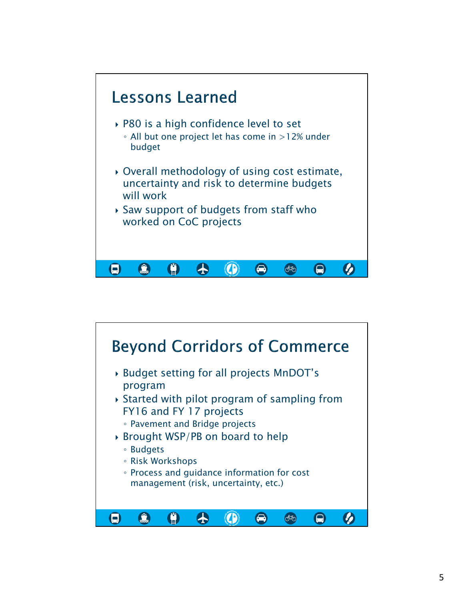

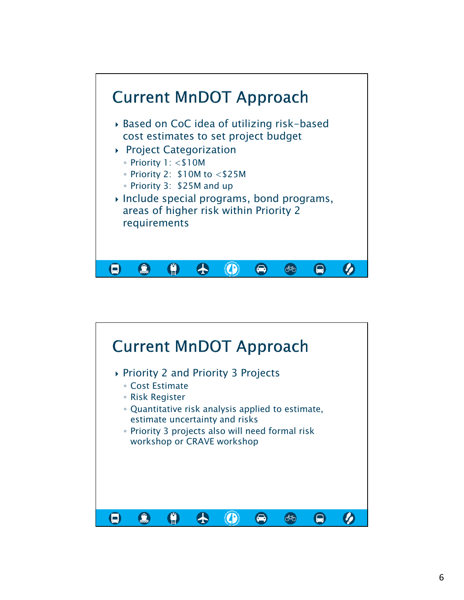

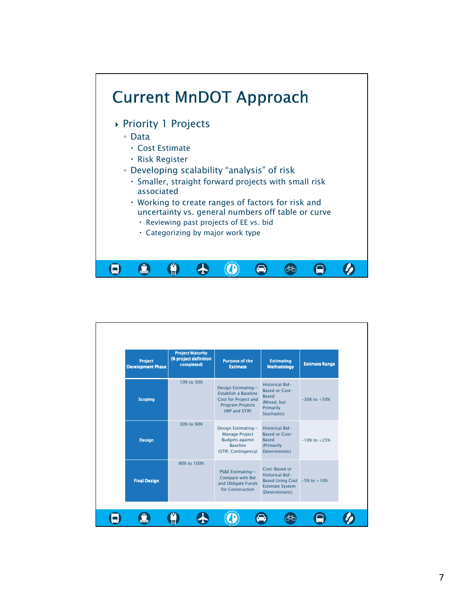

| Project<br><b>Development Phase</b> | <b>Project Maturity</b><br>(% project definition<br>completed) | <b>Purpose of the</b><br><b>Estimate</b>                                                                        | <b>Estimating</b><br><b>Methodology</b>                                                                             | <b>Estimate Range</b> |
|-------------------------------------|----------------------------------------------------------------|-----------------------------------------------------------------------------------------------------------------|---------------------------------------------------------------------------------------------------------------------|-----------------------|
| <b>Scoping</b>                      | 10% to 30%                                                     | Design Estimating-<br>Establish a Baseline<br>Cost for Project and<br>Program Projects<br>(IRP and STIP)        | Historical Bid-<br>Based or Cost-<br><b>Based</b><br>(Mixed, but<br>Primarily<br>Stochastic)                        | $-30\%$ to $+50\%$    |
| <b>Design</b>                       | 30% to 90%                                                     | Design Estimating-<br><b>Manage Project</b><br><b>Budgets against</b><br><b>Baseline</b><br>(STIP, Contingency) | Historical Bid-<br>Based or Cost-<br><b>Based</b><br>(Primarily<br>Deterministic)                                   | $-10\%$ to $+25\%$    |
| <b>Final Design</b>                 | 90% to 100%                                                    | <b>PS&amp;E Estimating-</b><br>Compare with Bid<br>and Obligate Funds<br>for Construction                       | Cost-Based or<br>Historical Bid-<br>Based Using Cost $-5\%$ to $+10\%$<br><b>Estimate System</b><br>(Deterministic) |                       |